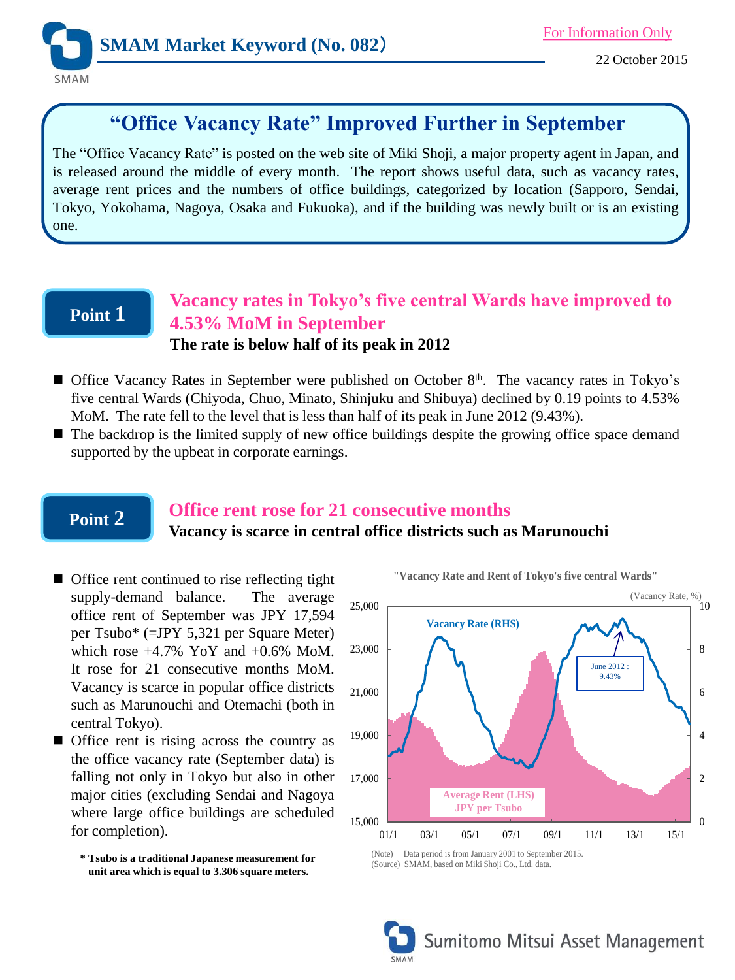

# **"Office Vacancy Rate" Improved Further in September**

The "Office Vacancy Rate" is posted on the web site of Miki Shoji, a major property agent in Japan, and is released around the middle of every month. The report shows useful data, such as vacancy rates, average rent prices and the numbers of office buildings, categorized by location (Sapporo, Sendai, Tokyo, Yokohama, Nagoya, Osaka and Fukuoka), and if the building was newly built or is an existing one.

## **Point 1**

### **Vacancy rates in Tokyo's five central Wards have improved to 4.53% MoM in September The rate is below half of its peak in 2012**

- Office Vacancy Rates in September were published on October 8<sup>th</sup>. The vacancy rates in Tokyo's five central Wards (Chiyoda, Chuo, Minato, Shinjuku and Shibuya) declined by 0.19 points to 4.53% MoM. The rate fell to the level that is less than half of its peak in June 2012 (9.43%).
- The backdrop is the limited supply of new office buildings despite the growing office space demand supported by the upbeat in corporate earnings.

## **Point 2**

### **Office rent rose for 21 consecutive months**

### **Vacancy is scarce in central office districts such as Marunouchi**

- Office rent continued to rise reflecting tight supply-demand balance. The average office rent of September was JPY 17,594 per Tsubo\* (=JPY 5,321 per Square Meter) which rose  $+4.7\%$  YoY and  $+0.6\%$  MoM. It rose for 21 consecutive months MoM. Vacancy is scarce in popular office districts such as Marunouchi and Otemachi (both in central Tokyo).
- **Office rent is rising across the country as** the office vacancy rate (September data) is falling not only in Tokyo but also in other major cities (excluding Sendai and Nagoya where large office buildings are scheduled for completion).

**\* Tsubo is a traditional Japanese measurement for unit area which is equal to 3.306 square meters.** 



**"Vacancy Rate and Rent of Tokyo's five central Wards"**

<sup>(</sup>Source) SMAM, based on Miki Shoji Co., Ltd. data.